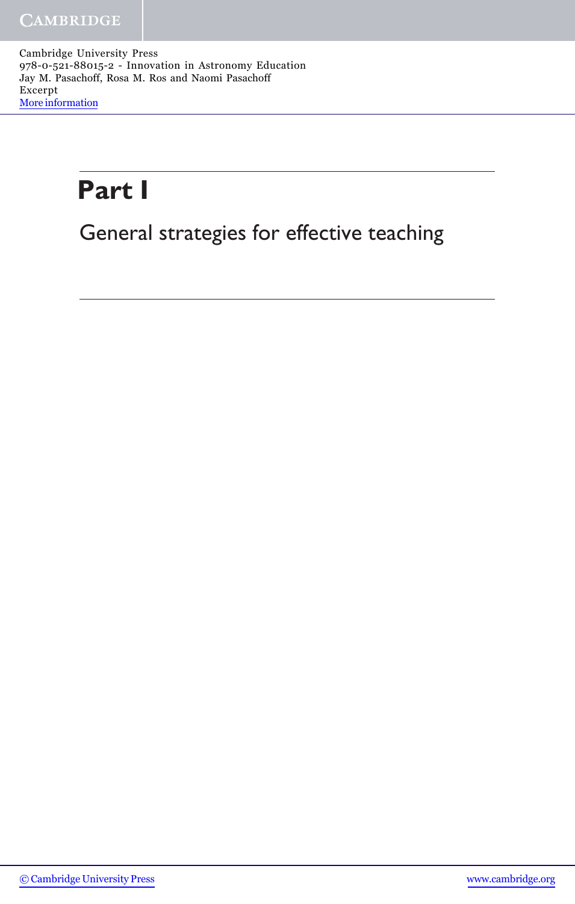# Part I

General strategies for effective teaching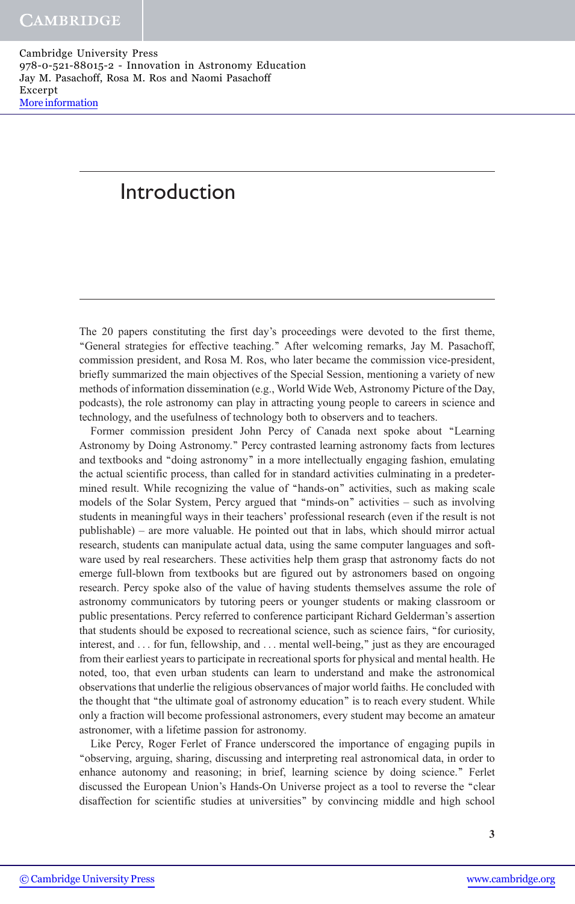### Introduction

The 20 papers constituting the first day's proceedings were devoted to the first theme, ''General strategies for effective teaching.'' After welcoming remarks, Jay M. Pasachoff, commission president, and Rosa M. Ros, who later became the commission vice-president, briefly summarized the main objectives of the Special Session, mentioning a variety of new methods of information dissemination (e.g., World Wide Web, Astronomy Picture of the Day, podcasts), the role astronomy can play in attracting young people to careers in science and technology, and the usefulness of technology both to observers and to teachers.

Former commission president John Percy of Canada next spoke about ''Learning Astronomy by Doing Astronomy.'' Percy contrasted learning astronomy facts from lectures and textbooks and ''doing astronomy'' in a more intellectually engaging fashion, emulating the actual scientific process, than called for in standard activities culminating in a predetermined result. While recognizing the value of ''hands-on'' activities, such as making scale models of the Solar System, Percy argued that "minds-on" activities – such as involving students in meaningful ways in their teachers' professional research (even if the result is not publishable) – are more valuable. He pointed out that in labs, which should mirror actual research, students can manipulate actual data, using the same computer languages and software used by real researchers. These activities help them grasp that astronomy facts do not emerge full-blown from textbooks but are figured out by astronomers based on ongoing research. Percy spoke also of the value of having students themselves assume the role of astronomy communicators by tutoring peers or younger students or making classroom or public presentations. Percy referred to conference participant Richard Gelderman's assertion that students should be exposed to recreational science, such as science fairs, ''for curiosity, interest, and ... for fun, fellowship, and ... mental well-being,'' just as they are encouraged from their earliest years to participate in recreational sports for physical and mental health. He noted, too, that even urban students can learn to understand and make the astronomical observations that underlie the religious observances of major world faiths. He concluded with the thought that ''the ultimate goal of astronomy education'' is to reach every student. While only a fraction will become professional astronomers, every student may become an amateur astronomer, with a lifetime passion for astronomy.

Like Percy, Roger Ferlet of France underscored the importance of engaging pupils in ''observing, arguing, sharing, discussing and interpreting real astronomical data, in order to enhance autonomy and reasoning; in brief, learning science by doing science.'' Ferlet discussed the European Union's Hands-On Universe project as a tool to reverse the ''clear disaffection for scientific studies at universities'' by convincing middle and high school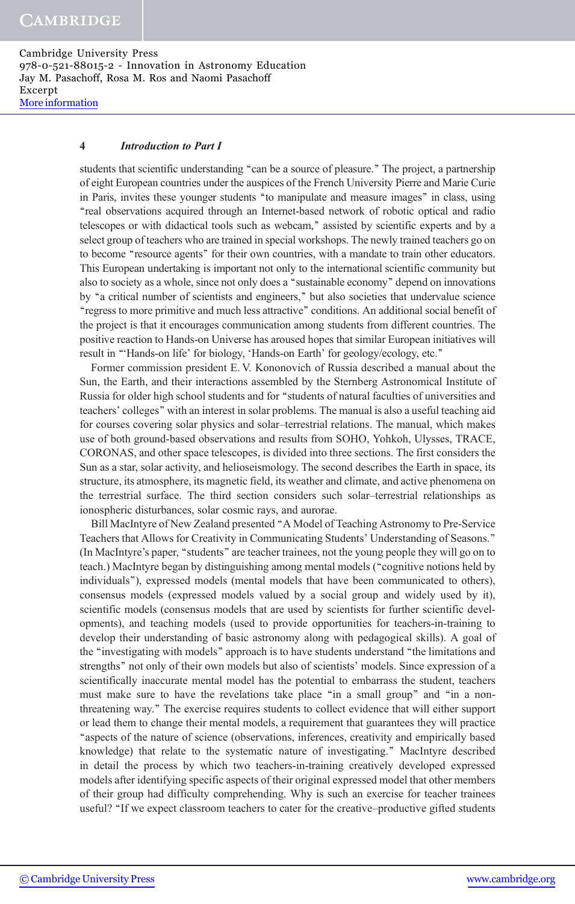#### 4 Introduction to Part I

students that scientific understanding "can be a source of pleasure." The project, a partnership of eight European countries under the auspices of the French University Pierre and Marie Curie in Paris, invites these younger students ''to manipulate and measure images'' in class, using ''real observations acquired through an Internet-based network of robotic optical and radio telescopes or with didactical tools such as webcam,'' assisted by scientific experts and by a select group of teachers who are trained in special workshops. The newly trained teachers go on to become "resource agents" for their own countries, with a mandate to train other educators. This European undertaking is important not only to the international scientific community but also to society as a whole, since not only does a ''sustainable economy'' depend on innovations by "a critical number of scientists and engineers," but also societies that undervalue science ''regress to more primitive and much less attractive'' conditions. An additional social benefit of the project is that it encourages communication among students from different countries. The positive reaction to Hands-on Universe has aroused hopes that similar European initiatives will result in "'Hands-on life' for biology, 'Hands-on Earth' for geology/ecology, etc."

Former commission president E. V. Kononovich of Russia described a manual about the Sun, the Earth, and their interactions assembled by the Sternberg Astronomical Institute of Russia for older high school students and for ''students of natural faculties of universities and teachers' colleges'' with an interest in solar problems. The manual is also a useful teaching aid for courses covering solar physics and solar–terrestrial relations. The manual, which makes use of both ground-based observations and results from SOHO, Yohkoh, Ulysses, TRACE, CORONAS, and other space telescopes, is divided into three sections. The first considers the Sun as a star, solar activity, and helioseismology. The second describes the Earth in space, its structure, its atmosphere, its magnetic field, its weather and climate, and active phenomena on the terrestrial surface. The third section considers such solar–terrestrial relationships as ionospheric disturbances, solar cosmic rays, and aurorae.

Bill MacIntyre of New Zealand presented ''A Model of Teaching Astronomy to Pre-Service Teachers that Allows for Creativity in Communicating Students' Understanding of Seasons.'' (In MacIntyre's paper, ''students'' are teacher trainees, not the young people they will go on to teach.) MacIntyre began by distinguishing among mental models (''cognitive notions held by individuals''), expressed models (mental models that have been communicated to others), consensus models (expressed models valued by a social group and widely used by it), scientific models (consensus models that are used by scientists for further scientific developments), and teaching models (used to provide opportunities for teachers-in-training to develop their understanding of basic astronomy along with pedagogical skills). A goal of the ''investigating with models'' approach is to have students understand ''the limitations and strengths'' not only of their own models but also of scientists' models. Since expression of a scientifically inaccurate mental model has the potential to embarrass the student, teachers must make sure to have the revelations take place "in a small group" and "in a nonthreatening way.'' The exercise requires students to collect evidence that will either support or lead them to change their mental models, a requirement that guarantees they will practice ''aspects of the nature of science (observations, inferences, creativity and empirically based knowledge) that relate to the systematic nature of investigating.'' MacIntyre described in detail the process by which two teachers-in-training creatively developed expressed models after identifying specific aspects of their original expressed model that other members of their group had difficulty comprehending. Why is such an exercise for teacher trainees useful? ''If we expect classroom teachers to cater for the creative–productive gifted students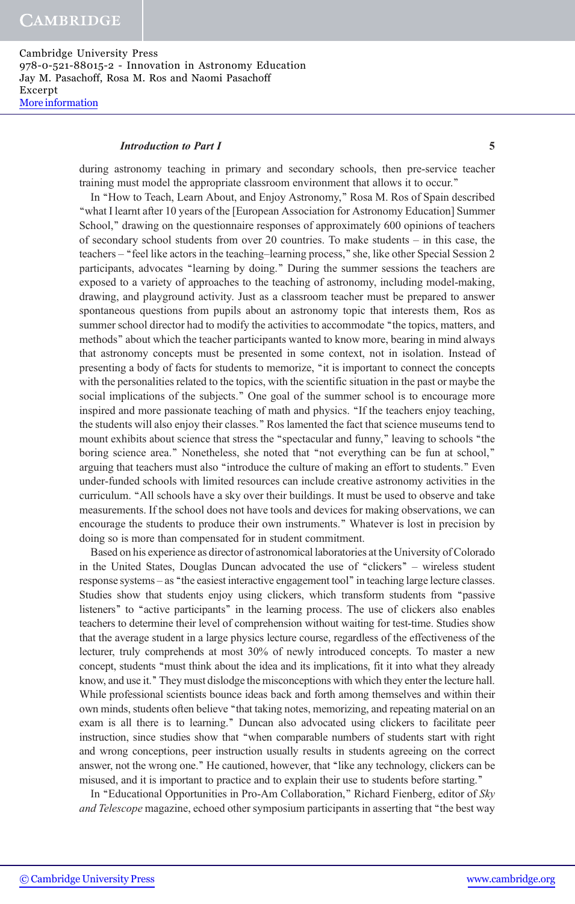#### Introduction to Part I and S

during astronomy teaching in primary and secondary schools, then pre-service teacher training must model the appropriate classroom environment that allows it to occur.''

In ''How to Teach, Learn About, and Enjoy Astronomy,'' Rosa M. Ros of Spain described ''what I learnt after 10 years of the [European Association for Astronomy Education] Summer School,'' drawing on the questionnaire responses of approximately 600 opinions of teachers of secondary school students from over 20 countries. To make students – in this case, the teachers – "feel like actors in the teaching–learning process," she, like other Special Session 2 participants, advocates ''learning by doing.'' During the summer sessions the teachers are exposed to a variety of approaches to the teaching of astronomy, including model-making, drawing, and playground activity. Just as a classroom teacher must be prepared to answer spontaneous questions from pupils about an astronomy topic that interests them, Ros as summer school director had to modify the activities to accommodate ''the topics, matters, and methods'' about which the teacher participants wanted to know more, bearing in mind always that astronomy concepts must be presented in some context, not in isolation. Instead of presenting a body of facts for students to memorize, ''it is important to connect the concepts with the personalities related to the topics, with the scientific situation in the past or maybe the social implications of the subjects." One goal of the summer school is to encourage more inspired and more passionate teaching of math and physics. ''If the teachers enjoy teaching, the students will also enjoy their classes.'' Ros lamented the fact that science museums tend to mount exhibits about science that stress the "spectacular and funny," leaving to schools "the boring science area.'' Nonetheless, she noted that ''not everything can be fun at school,'' arguing that teachers must also ''introduce the culture of making an effort to students.'' Even under-funded schools with limited resources can include creative astronomy activities in the curriculum. "All schools have a sky over their buildings. It must be used to observe and take measurements. If the school does not have tools and devices for making observations, we can encourage the students to produce their own instruments.'' Whatever is lost in precision by doing so is more than compensated for in student commitment.

Based on his experience as director of astronomical laboratories at the University of Colorado in the United States, Douglas Duncan advocated the use of "clickers" – wireless student response systems – as ''the easiest interactive engagement tool'' in teaching large lecture classes. Studies show that students enjoy using clickers, which transform students from ''passive listeners" to "active participants" in the learning process. The use of clickers also enables teachers to determine their level of comprehension without waiting for test-time. Studies show that the average student in a large physics lecture course, regardless of the effectiveness of the lecturer, truly comprehends at most 30% of newly introduced concepts. To master a new concept, students ''must think about the idea and its implications, fit it into what they already know, and use it.'' They must dislodge the misconceptions with which they enter the lecture hall. While professional scientists bounce ideas back and forth among themselves and within their own minds, students often believe ''that taking notes, memorizing, and repeating material on an exam is all there is to learning.'' Duncan also advocated using clickers to facilitate peer instruction, since studies show that ''when comparable numbers of students start with right and wrong conceptions, peer instruction usually results in students agreeing on the correct answer, not the wrong one." He cautioned, however, that "like any technology, clickers can be misused, and it is important to practice and to explain their use to students before starting.''

In "Educational Opportunities in Pro-Am Collaboration," Richard Fienberg, editor of Sky and Telescope magazine, echoed other symposium participants in asserting that "the best way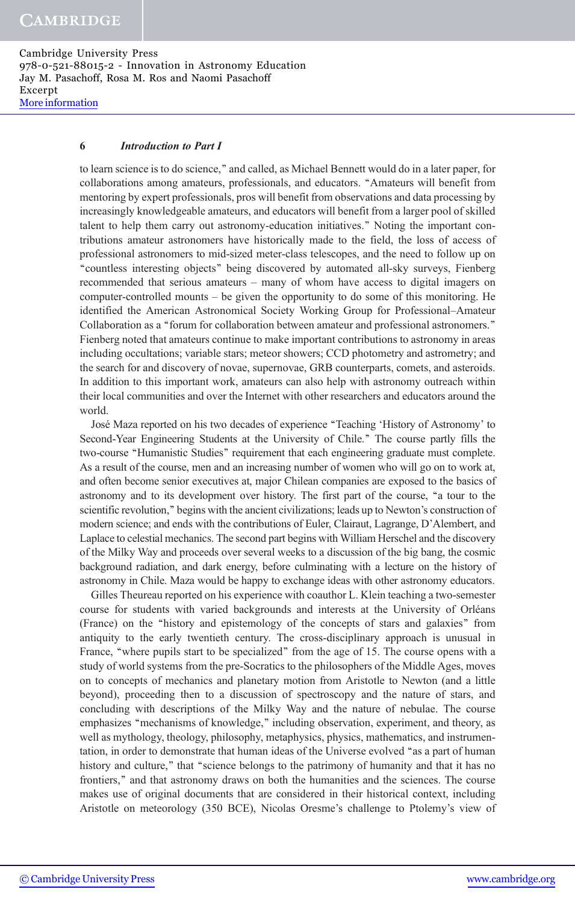#### 6 Introduction to Part I

to learn science is to do science,'' and called, as Michael Bennett would do in a later paper, for collaborations among amateurs, professionals, and educators. ''Amateurs will benefit from mentoring by expert professionals, pros will benefit from observations and data processing by increasingly knowledgeable amateurs, and educators will benefit from a larger pool of skilled talent to help them carry out astronomy-education initiatives.'' Noting the important contributions amateur astronomers have historically made to the field, the loss of access of professional astronomers to mid-sized meter-class telescopes, and the need to follow up on ''countless interesting objects'' being discovered by automated all-sky surveys, Fienberg recommended that serious amateurs – many of whom have access to digital imagers on computer-controlled mounts – be given the opportunity to do some of this monitoring. He identified the American Astronomical Society Working Group for Professional–Amateur Collaboration as a ''forum for collaboration between amateur and professional astronomers.'' Fienberg noted that amateurs continue to make important contributions to astronomy in areas including occultations; variable stars; meteor showers; CCD photometry and astrometry; and the search for and discovery of novae, supernovae, GRB counterparts, comets, and asteroids. In addition to this important work, amateurs can also help with astronomy outreach within their local communities and over the Internet with other researchers and educators around the world.

Jose´ Maza reported on his two decades of experience ''Teaching 'History of Astronomy' to Second-Year Engineering Students at the University of Chile.'' The course partly fills the two-course ''Humanistic Studies'' requirement that each engineering graduate must complete. As a result of the course, men and an increasing number of women who will go on to work at, and often become senior executives at, major Chilean companies are exposed to the basics of astronomy and to its development over history. The first part of the course, "a tour to the scientific revolution," begins with the ancient civilizations; leads up to Newton's construction of modern science; and ends with the contributions of Euler, Clairaut, Lagrange, D'Alembert, and Laplace to celestial mechanics. The second part begins with William Herschel and the discovery of the Milky Way and proceeds over several weeks to a discussion of the big bang, the cosmic background radiation, and dark energy, before culminating with a lecture on the history of astronomy in Chile. Maza would be happy to exchange ideas with other astronomy educators.

Gilles Theureau reported on his experience with coauthor L. Klein teaching a two-semester course for students with varied backgrounds and interests at the University of Orléans (France) on the ''history and epistemology of the concepts of stars and galaxies'' from antiquity to the early twentieth century. The cross-disciplinary approach is unusual in France, "where pupils start to be specialized" from the age of 15. The course opens with a study of world systems from the pre-Socratics to the philosophers of the Middle Ages, moves on to concepts of mechanics and planetary motion from Aristotle to Newton (and a little beyond), proceeding then to a discussion of spectroscopy and the nature of stars, and concluding with descriptions of the Milky Way and the nature of nebulae. The course emphasizes "mechanisms of knowledge," including observation, experiment, and theory, as well as mythology, theology, philosophy, metaphysics, physics, mathematics, and instrumentation, in order to demonstrate that human ideas of the Universe evolved "as a part of human history and culture," that "science belongs to the patrimony of humanity and that it has no frontiers,'' and that astronomy draws on both the humanities and the sciences. The course makes use of original documents that are considered in their historical context, including Aristotle on meteorology (350 BCE), Nicolas Oresme's challenge to Ptolemy's view of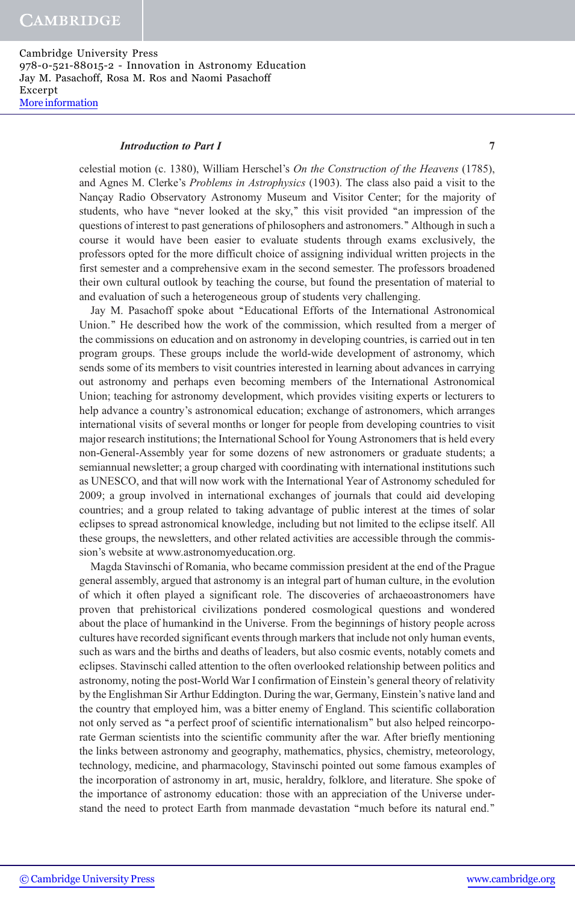#### Introduction to Part I 7 and 2008 1 and 2008 1 and 2008 1 and 2008 1 and 2008 1 and 2008 1 and 2008 1  $\sigma$

celestial motion (c. 1380), William Herschel's On the Construction of the Heavens (1785), and Agnes M. Clerke's Problems in Astrophysics (1903). The class also paid a visit to the Nançay Radio Observatory Astronomy Museum and Visitor Center; for the majority of students, who have "never looked at the sky," this visit provided "an impression of the questions of interest to past generations of philosophers and astronomers.'' Although in such a course it would have been easier to evaluate students through exams exclusively, the professors opted for the more difficult choice of assigning individual written projects in the first semester and a comprehensive exam in the second semester. The professors broadened their own cultural outlook by teaching the course, but found the presentation of material to and evaluation of such a heterogeneous group of students very challenging.

Jay M. Pasachoff spoke about ''Educational Efforts of the International Astronomical Union.'' He described how the work of the commission, which resulted from a merger of the commissions on education and on astronomy in developing countries, is carried out in ten program groups. These groups include the world-wide development of astronomy, which sends some of its members to visit countries interested in learning about advances in carrying out astronomy and perhaps even becoming members of the International Astronomical Union; teaching for astronomy development, which provides visiting experts or lecturers to help advance a country's astronomical education; exchange of astronomers, which arranges international visits of several months or longer for people from developing countries to visit major research institutions; the International School for Young Astronomers that is held every non-General-Assembly year for some dozens of new astronomers or graduate students; a semiannual newsletter; a group charged with coordinating with international institutions such as UNESCO, and that will now work with the International Year of Astronomy scheduled for 2009; a group involved in international exchanges of journals that could aid developing countries; and a group related to taking advantage of public interest at the times of solar eclipses to spread astronomical knowledge, including but not limited to the eclipse itself. All these groups, the newsletters, and other related activities are accessible through the commission's website at www.astronomyeducation.org.

Magda Stavinschi of Romania, who became commission president at the end of the Prague general assembly, argued that astronomy is an integral part of human culture, in the evolution of which it often played a significant role. The discoveries of archaeoastronomers have proven that prehistorical civilizations pondered cosmological questions and wondered about the place of humankind in the Universe. From the beginnings of history people across cultures have recorded significant events through markers that include not only human events, such as wars and the births and deaths of leaders, but also cosmic events, notably comets and eclipses. Stavinschi called attention to the often overlooked relationship between politics and astronomy, noting the post-World War I confirmation of Einstein's general theory of relativity by the Englishman Sir Arthur Eddington. During the war, Germany, Einstein's native land and the country that employed him, was a bitter enemy of England. This scientific collaboration not only served as "a perfect proof of scientific internationalism" but also helped reincorporate German scientists into the scientific community after the war. After briefly mentioning the links between astronomy and geography, mathematics, physics, chemistry, meteorology, technology, medicine, and pharmacology, Stavinschi pointed out some famous examples of the incorporation of astronomy in art, music, heraldry, folklore, and literature. She spoke of the importance of astronomy education: those with an appreciation of the Universe understand the need to protect Earth from manmade devastation ''much before its natural end.''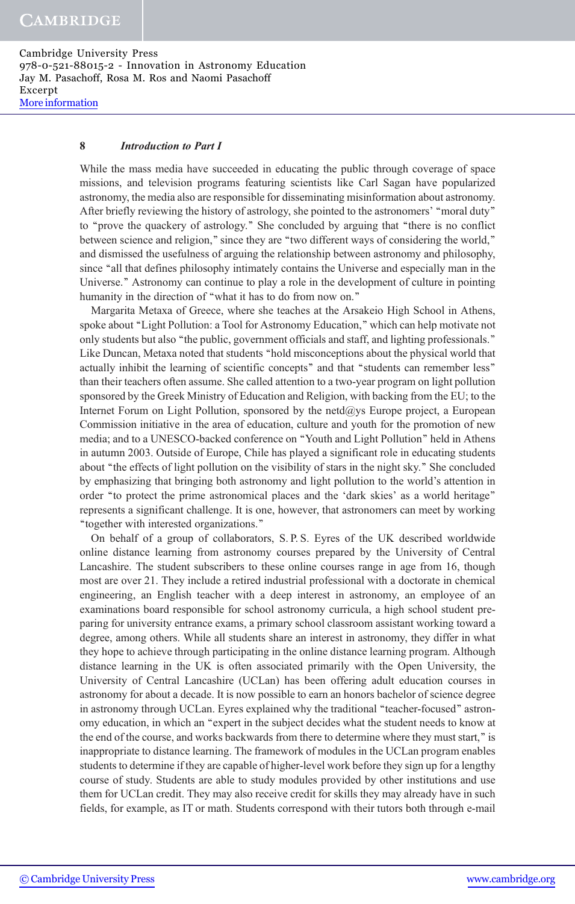#### 8 **Introduction to Part I**

While the mass media have succeeded in educating the public through coverage of space missions, and television programs featuring scientists like Carl Sagan have popularized astronomy, the media also are responsible for disseminating misinformation about astronomy. After briefly reviewing the history of astrology, she pointed to the astronomers' ''moral duty'' to "prove the quackery of astrology." She concluded by arguing that "there is no conflict" between science and religion," since they are "two different ways of considering the world," and dismissed the usefulness of arguing the relationship between astronomy and philosophy, since "all that defines philosophy intimately contains the Universe and especially man in the Universe.'' Astronomy can continue to play a role in the development of culture in pointing humanity in the direction of "what it has to do from now on."

Margarita Metaxa of Greece, where she teaches at the Arsakeio High School in Athens, spoke about "Light Pollution: a Tool for Astronomy Education," which can help motivate not only students but also ''the public, government officials and staff, and lighting professionals.'' Like Duncan, Metaxa noted that students ''hold misconceptions about the physical world that actually inhibit the learning of scientific concepts'' and that ''students can remember less'' than their teachers often assume. She called attention to a two-year program on light pollution sponsored by the Greek Ministry of Education and Religion, with backing from the EU; to the Internet Forum on Light Pollution, sponsored by the netd $\hat{a}$  as Europe project, a European Commission initiative in the area of education, culture and youth for the promotion of new media; and to a UNESCO-backed conference on ''Youth and Light Pollution'' held in Athens in autumn 2003. Outside of Europe, Chile has played a significant role in educating students about ''the effects of light pollution on the visibility of stars in the night sky.'' She concluded by emphasizing that bringing both astronomy and light pollution to the world's attention in order ''to protect the prime astronomical places and the 'dark skies' as a world heritage'' represents a significant challenge. It is one, however, that astronomers can meet by working ''together with interested organizations.''

On behalf of a group of collaborators, S. P. S. Eyres of the UK described worldwide online distance learning from astronomy courses prepared by the University of Central Lancashire. The student subscribers to these online courses range in age from 16, though most are over 21. They include a retired industrial professional with a doctorate in chemical engineering, an English teacher with a deep interest in astronomy, an employee of an examinations board responsible for school astronomy curricula, a high school student preparing for university entrance exams, a primary school classroom assistant working toward a degree, among others. While all students share an interest in astronomy, they differ in what they hope to achieve through participating in the online distance learning program. Although distance learning in the UK is often associated primarily with the Open University, the University of Central Lancashire (UCLan) has been offering adult education courses in astronomy for about a decade. It is now possible to earn an honors bachelor of science degree in astronomy through UCLan. Eyres explained why the traditional "teacher-focused" astronomy education, in which an ''expert in the subject decides what the student needs to know at the end of the course, and works backwards from there to determine where they must start,'' is inappropriate to distance learning. The framework of modules in the UCLan program enables students to determine if they are capable of higher-level work before they sign up for a lengthy course of study. Students are able to study modules provided by other institutions and use them for UCLan credit. They may also receive credit for skills they may already have in such fields, for example, as IT or math. Students correspond with their tutors both through e-mail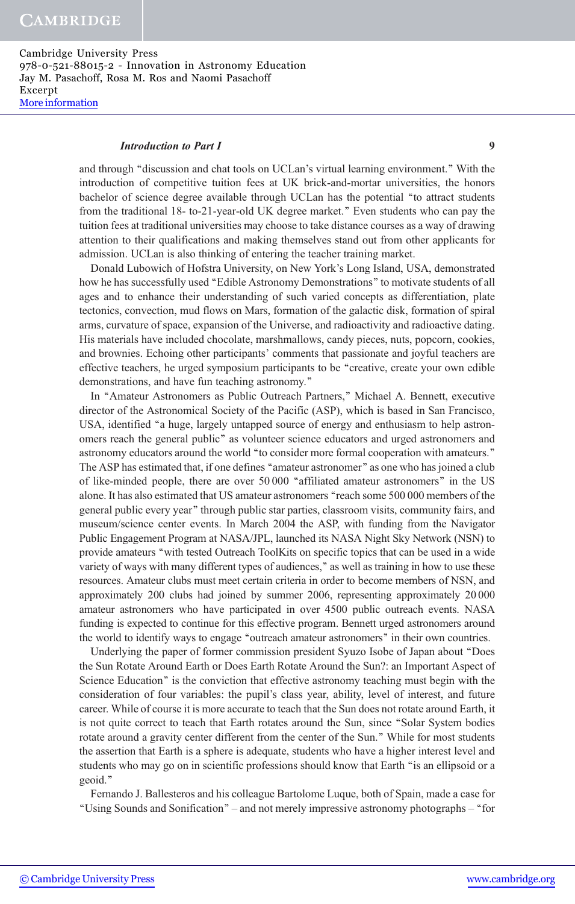#### Introduction to Part I 9

and through "discussion and chat tools on UCLan's virtual learning environment." With the introduction of competitive tuition fees at UK brick-and-mortar universities, the honors bachelor of science degree available through UCLan has the potential ''to attract students from the traditional 18- to-21-year-old UK degree market.'' Even students who can pay the tuition fees at traditional universities may choose to take distance courses as a way of drawing attention to their qualifications and making themselves stand out from other applicants for admission. UCLan is also thinking of entering the teacher training market.

Donald Lubowich of Hofstra University, on New York's Long Island, USA, demonstrated how he has successfully used "Edible Astronomy Demonstrations" to motivate students of all ages and to enhance their understanding of such varied concepts as differentiation, plate tectonics, convection, mud flows on Mars, formation of the galactic disk, formation of spiral arms, curvature of space, expansion of the Universe, and radioactivity and radioactive dating. His materials have included chocolate, marshmallows, candy pieces, nuts, popcorn, cookies, and brownies. Echoing other participants' comments that passionate and joyful teachers are effective teachers, he urged symposium participants to be "creative, create your own edible demonstrations, and have fun teaching astronomy.''

In ''Amateur Astronomers as Public Outreach Partners,'' Michael A. Bennett, executive director of the Astronomical Society of the Pacific (ASP), which is based in San Francisco, USA, identified "a huge, largely untapped source of energy and enthusiasm to help astronomers reach the general public'' as volunteer science educators and urged astronomers and astronomy educators around the world ''to consider more formal cooperation with amateurs.'' The ASP has estimated that, if one defines "amateur astronomer" as one who has joined a club of like-minded people, there are over 50 000 ''affiliated amateur astronomers'' in the US alone. It has also estimated that US amateur astronomers ''reach some 500 000 members of the general public every year'' through public star parties, classroom visits, community fairs, and museum/science center events. In March 2004 the ASP, with funding from the Navigator Public Engagement Program at NASA/JPL, launched its NASA Night Sky Network (NSN) to provide amateurs "with tested Outreach ToolKits on specific topics that can be used in a wide variety of ways with many different types of audiences," as well as training in how to use these resources. Amateur clubs must meet certain criteria in order to become members of NSN, and approximately 200 clubs had joined by summer 2006, representing approximately 20 000 amateur astronomers who have participated in over 4500 public outreach events. NASA funding is expected to continue for this effective program. Bennett urged astronomers around the world to identify ways to engage ''outreach amateur astronomers'' in their own countries.

Underlying the paper of former commission president Syuzo Isobe of Japan about ''Does the Sun Rotate Around Earth or Does Earth Rotate Around the Sun?: an Important Aspect of Science Education'' is the conviction that effective astronomy teaching must begin with the consideration of four variables: the pupil's class year, ability, level of interest, and future career. While of course it is more accurate to teach that the Sun does not rotate around Earth, it is not quite correct to teach that Earth rotates around the Sun, since "Solar System bodies" rotate around a gravity center different from the center of the Sun." While for most students the assertion that Earth is a sphere is adequate, students who have a higher interest level and students who may go on in scientific professions should know that Earth "is an ellipsoid or a geoid.''

Fernando J. Ballesteros and his colleague Bartolome Luque, both of Spain, made a case for ''Using Sounds and Sonification'' – and not merely impressive astronomy photographs – ''for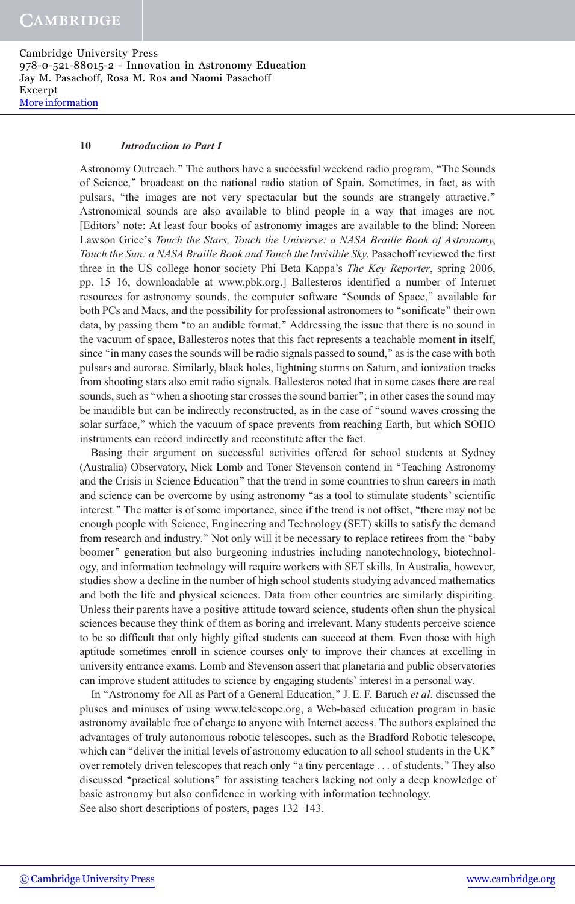#### 10 Introduction to Part I

Astronomy Outreach.'' The authors have a successful weekend radio program, ''The Sounds of Science,'' broadcast on the national radio station of Spain. Sometimes, in fact, as with pulsars, ''the images are not very spectacular but the sounds are strangely attractive.'' Astronomical sounds are also available to blind people in a way that images are not. [Editors' note: At least four books of astronomy images are available to the blind: Noreen Lawson Grice's Touch the Stars, Touch the Universe: a NASA Braille Book of Astronomy, Touch the Sun: a NASA Braille Book and Touch the Invisible Sky. Pasachoff reviewed the first three in the US college honor society Phi Beta Kappa's The Key Reporter, spring 2006, pp. 15–16, downloadable at www.pbk.org.] Ballesteros identified a number of Internet resources for astronomy sounds, the computer software ''Sounds of Space,'' available for both PCs and Macs, and the possibility for professional astronomers to "sonificate" their own data, by passing them "to an audible format." Addressing the issue that there is no sound in the vacuum of space, Ballesteros notes that this fact represents a teachable moment in itself, since "in many cases the sounds will be radio signals passed to sound," as is the case with both pulsars and aurorae. Similarly, black holes, lightning storms on Saturn, and ionization tracks from shooting stars also emit radio signals. Ballesteros noted that in some cases there are real sounds, such as "when a shooting star crosses the sound barrier"; in other cases the sound may be inaudible but can be indirectly reconstructed, as in the case of "sound waves crossing the solar surface,'' which the vacuum of space prevents from reaching Earth, but which SOHO instruments can record indirectly and reconstitute after the fact.

Basing their argument on successful activities offered for school students at Sydney (Australia) Observatory, Nick Lomb and Toner Stevenson contend in ''Teaching Astronomy and the Crisis in Science Education'' that the trend in some countries to shun careers in math and science can be overcome by using astronomy "as a tool to stimulate students' scientific interest.'' The matter is of some importance, since if the trend is not offset, ''there may not be enough people with Science, Engineering and Technology (SET) skills to satisfy the demand from research and industry.'' Not only will it be necessary to replace retirees from the ''baby boomer'' generation but also burgeoning industries including nanotechnology, biotechnology, and information technology will require workers with SET skills. In Australia, however, studies show a decline in the number of high school students studying advanced mathematics and both the life and physical sciences. Data from other countries are similarly dispiriting. Unless their parents have a positive attitude toward science, students often shun the physical sciences because they think of them as boring and irrelevant. Many students perceive science to be so difficult that only highly gifted students can succeed at them. Even those with high aptitude sometimes enroll in science courses only to improve their chances at excelling in university entrance exams. Lomb and Stevenson assert that planetaria and public observatories can improve student attitudes to science by engaging students' interest in a personal way.

In "Astronomy for All as Part of a General Education," J. E. F. Baruch et al. discussed the pluses and minuses of using www.telescope.org, a Web-based education program in basic astronomy available free of charge to anyone with Internet access. The authors explained the advantages of truly autonomous robotic telescopes, such as the Bradford Robotic telescope, which can "deliver the initial levels of astronomy education to all school students in the UK" over remotely driven telescopes that reach only "a tiny percentage ... of students." They also discussed ''practical solutions'' for assisting teachers lacking not only a deep knowledge of basic astronomy but also confidence in working with information technology. See also short descriptions of posters, pages 132–143.